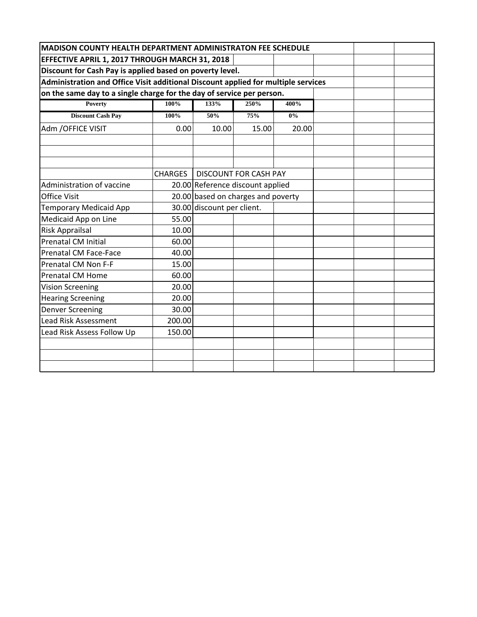| MADISON COUNTY HEALTH DEPARTMENT ADMINISTRATON FEE SCHEDULE                       |                |                                    |       |       |  |  |  |
|-----------------------------------------------------------------------------------|----------------|------------------------------------|-------|-------|--|--|--|
| EFFECTIVE APRIL 1, 2017 THROUGH MARCH 31, 2018                                    |                |                                    |       |       |  |  |  |
| Discount for Cash Pay is applied based on poverty level.                          |                |                                    |       |       |  |  |  |
| Administration and Office Visit additional Discount applied for multiple services |                |                                    |       |       |  |  |  |
| on the same day to a single charge for the day of service per person.             |                |                                    |       |       |  |  |  |
| <b>Poverty</b>                                                                    | 100%           | 133%                               | 250%  | 400%  |  |  |  |
| <b>Discount Cash Pay</b>                                                          | 100%           | 50%                                | 75%   | 0%    |  |  |  |
| Adm / OFFICE VISIT                                                                | 0.00           | 10.00                              | 15.00 | 20.00 |  |  |  |
|                                                                                   |                |                                    |       |       |  |  |  |
|                                                                                   |                |                                    |       |       |  |  |  |
|                                                                                   |                |                                    |       |       |  |  |  |
|                                                                                   | <b>CHARGES</b> | <b>DISCOUNT FOR CASH PAY</b>       |       |       |  |  |  |
| Administration of vaccine                                                         |                | 20.00 Reference discount applied   |       |       |  |  |  |
| <b>Office Visit</b>                                                               |                | 20.00 based on charges and poverty |       |       |  |  |  |
| <b>Temporary Medicaid App</b>                                                     |                | 30.00 discount per client.         |       |       |  |  |  |
| Medicaid App on Line                                                              | 55.00          |                                    |       |       |  |  |  |
| <b>Risk Apprailsal</b>                                                            | 10.00          |                                    |       |       |  |  |  |
| <b>Prenatal CM Initial</b>                                                        | 60.00          |                                    |       |       |  |  |  |
| Prenatal CM Face-Face                                                             | 40.00          |                                    |       |       |  |  |  |
| <b>Prenatal CM Non F-F</b>                                                        | 15.00          |                                    |       |       |  |  |  |
| <b>Prenatal CM Home</b>                                                           | 60.00          |                                    |       |       |  |  |  |
| <b>Vision Screening</b>                                                           | 20.00          |                                    |       |       |  |  |  |
| <b>Hearing Screening</b>                                                          | 20.00          |                                    |       |       |  |  |  |
| <b>Denver Screening</b>                                                           | 30.00          |                                    |       |       |  |  |  |
| <b>Lead Risk Assessment</b>                                                       | 200.00         |                                    |       |       |  |  |  |
| Lead Risk Assess Follow Up                                                        | 150.00         |                                    |       |       |  |  |  |
|                                                                                   |                |                                    |       |       |  |  |  |
|                                                                                   |                |                                    |       |       |  |  |  |
|                                                                                   |                |                                    |       |       |  |  |  |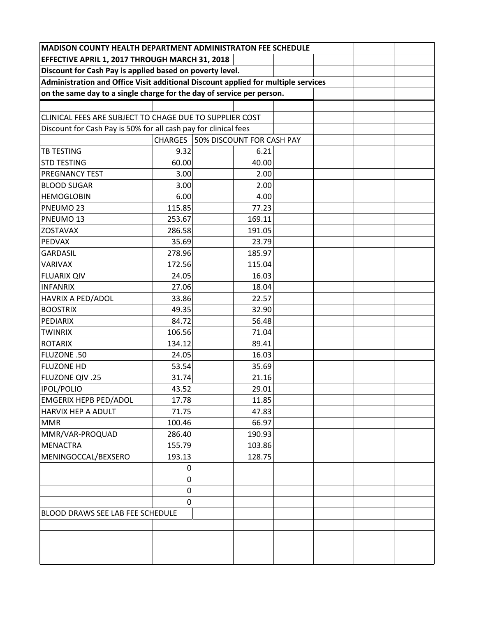| <b>MADISON COUNTY HEALTH DEPARTMENT ADMINISTRATON FEE SCHEDULE</b>                |                  |                                   |        |  |  |  |  |
|-----------------------------------------------------------------------------------|------------------|-----------------------------------|--------|--|--|--|--|
| EFFECTIVE APRIL 1, 2017 THROUGH MARCH 31, 2018                                    |                  |                                   |        |  |  |  |  |
| Discount for Cash Pay is applied based on poverty level.                          |                  |                                   |        |  |  |  |  |
| Administration and Office Visit additional Discount applied for multiple services |                  |                                   |        |  |  |  |  |
| on the same day to a single charge for the day of service per person.             |                  |                                   |        |  |  |  |  |
|                                                                                   |                  |                                   |        |  |  |  |  |
| CLINICAL FEES ARE SUBJECT TO CHAGE DUE TO SUPPLIER COST                           |                  |                                   |        |  |  |  |  |
| Discount for Cash Pay is 50% for all cash pay for clinical fees                   |                  |                                   |        |  |  |  |  |
|                                                                                   |                  | CHARGES 50% DISCOUNT FOR CASH PAY |        |  |  |  |  |
| <b>TB TESTING</b>                                                                 | 9.32             |                                   | 6.21   |  |  |  |  |
| <b>STD TESTING</b>                                                                | 60.00            |                                   | 40.00  |  |  |  |  |
| <b>PREGNANCY TEST</b>                                                             | 3.00             |                                   | 2.00   |  |  |  |  |
| <b>BLOOD SUGAR</b>                                                                | 3.00             |                                   | 2.00   |  |  |  |  |
| <b>HEMOGLOBIN</b>                                                                 | 6.00             |                                   | 4.00   |  |  |  |  |
| PNEUMO <sub>23</sub>                                                              | 115.85           |                                   | 77.23  |  |  |  |  |
| PNEUMO 13                                                                         | 253.67           |                                   | 169.11 |  |  |  |  |
| <b>ZOSTAVAX</b>                                                                   | 286.58           |                                   | 191.05 |  |  |  |  |
| <b>PEDVAX</b>                                                                     | 35.69            |                                   | 23.79  |  |  |  |  |
| <b>GARDASIL</b>                                                                   | 278.96           |                                   | 185.97 |  |  |  |  |
| <b>VARIVAX</b>                                                                    | 172.56           |                                   | 115.04 |  |  |  |  |
| <b>FLUARIX QIV</b>                                                                | 24.05            |                                   | 16.03  |  |  |  |  |
| <b>INFANRIX</b>                                                                   | 27.06            |                                   | 18.04  |  |  |  |  |
| <b>HAVRIX A PED/ADOL</b>                                                          | 33.86            |                                   | 22.57  |  |  |  |  |
| <b>BOOSTRIX</b>                                                                   | 49.35            |                                   | 32.90  |  |  |  |  |
| PEDIARIX                                                                          | 84.72            |                                   | 56.48  |  |  |  |  |
| <b>TWINRIX</b>                                                                    | 106.56           |                                   | 71.04  |  |  |  |  |
| <b>ROTARIX</b>                                                                    | 134.12           |                                   | 89.41  |  |  |  |  |
| FLUZONE .50                                                                       | 24.05            |                                   | 16.03  |  |  |  |  |
| <b>FLUZONE HD</b>                                                                 | 53.54            |                                   | 35.69  |  |  |  |  |
| FLUZONE QIV.25                                                                    | 31.74            |                                   | 21.16  |  |  |  |  |
| <b>IPOL/POLIO</b>                                                                 | 43.52            |                                   | 29.01  |  |  |  |  |
| <b>EMGERIX HEPB PED/ADOL</b>                                                      | 17.78            |                                   | 11.85  |  |  |  |  |
| <b>HARVIX HEP A ADULT</b>                                                         | 71.75            |                                   | 47.83  |  |  |  |  |
| <b>MMR</b>                                                                        | 100.46           |                                   | 66.97  |  |  |  |  |
| MMR/VAR-PROQUAD                                                                   | 286.40           |                                   | 190.93 |  |  |  |  |
| <b>MENACTRA</b>                                                                   | 155.79           |                                   | 103.86 |  |  |  |  |
| MENINGOCCAL/BEXSERO                                                               | 193.13           |                                   | 128.75 |  |  |  |  |
|                                                                                   | 0                |                                   |        |  |  |  |  |
|                                                                                   | 0                |                                   |        |  |  |  |  |
|                                                                                   | $\boldsymbol{0}$ |                                   |        |  |  |  |  |
|                                                                                   | $\mathbf 0$      |                                   |        |  |  |  |  |
| BLOOD DRAWS SEE LAB FEE SCHEDULE                                                  |                  |                                   |        |  |  |  |  |
|                                                                                   |                  |                                   |        |  |  |  |  |
|                                                                                   |                  |                                   |        |  |  |  |  |
|                                                                                   |                  |                                   |        |  |  |  |  |
|                                                                                   |                  |                                   |        |  |  |  |  |